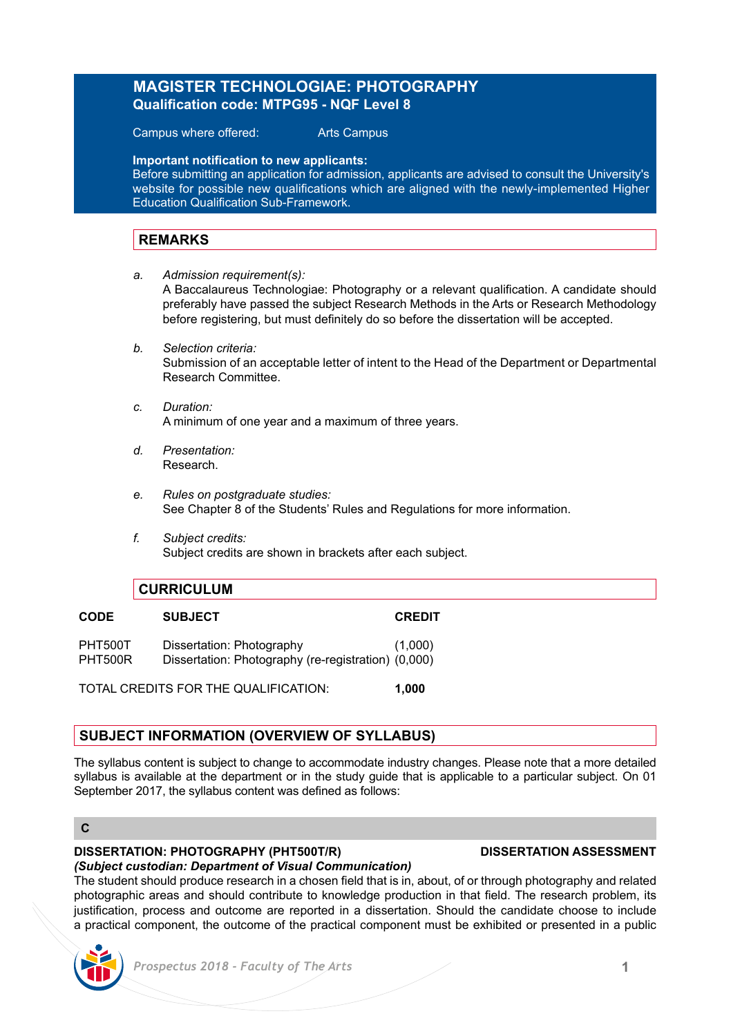## **MAGISTER TECHNOLOGIAE: PHOTOGRAPHY Qualification code: MTPG95 - NQF Level 8**

Campus where offered: Arts Campus

**Important notification to new applicants:**

Before submitting an application for admission, applicants are advised to consult the University's website for possible new qualifications which are aligned with the newly-implemented Higher Education Qualification Sub-Framework.

## **REMARKS**

*a. Admission requirement(s):*

A Baccalaureus Technologiae: Photography or a relevant qualification. A candidate should preferably have passed the subject Research Methods in the Arts or Research Methodology before registering, but must definitely do so before the dissertation will be accepted.

- *b. Selection criteria:* Submission of an acceptable letter of intent to the Head of the Department or Departmental Research Committee.
- *c. Duration:* A minimum of one year and a maximum of three years.
- *d. Presentation:* Research.
- *e. Rules on postgraduate studies:* See Chapter 8 of the Students' Rules and Regulations for more information.
- *f. Subject credits:* Subject credits are shown in brackets after each subject.

## **CURRICULUM**

| <b>CODE</b>        | <b>SUBJECT</b>                                                                   | <b>CREDIT</b> |
|--------------------|----------------------------------------------------------------------------------|---------------|
| PHT500T<br>PHT500R | Dissertation: Photography<br>Dissertation: Photography (re-registration) (0,000) | (1,000)       |
|                    |                                                                                  |               |

TOTAL CREDITS FOR THE QUALIFICATION: **1,000**

# **SUBJECT INFORMATION (OVERVIEW OF SYLLABUS)**

The syllabus content is subject to change to accommodate industry changes. Please note that a more detailed syllabus is available at the department or in the study guide that is applicable to a particular subject. On 01 September 2017, the syllabus content was defined as follows:

#### **C**

#### **DISSERTATION: PHOTOGRAPHY (PHT500T/R) DISSERTATION ASSESSMENT**

#### *(Subject custodian: Department of Visual Communication)*

The student should produce research in a chosen field that is in, about, of or through photography and related photographic areas and should contribute to knowledge production in that field. The research problem, its justification, process and outcome are reported in a dissertation. Should the candidate choose to include a practical component, the outcome of the practical component must be exhibited or presented in a public